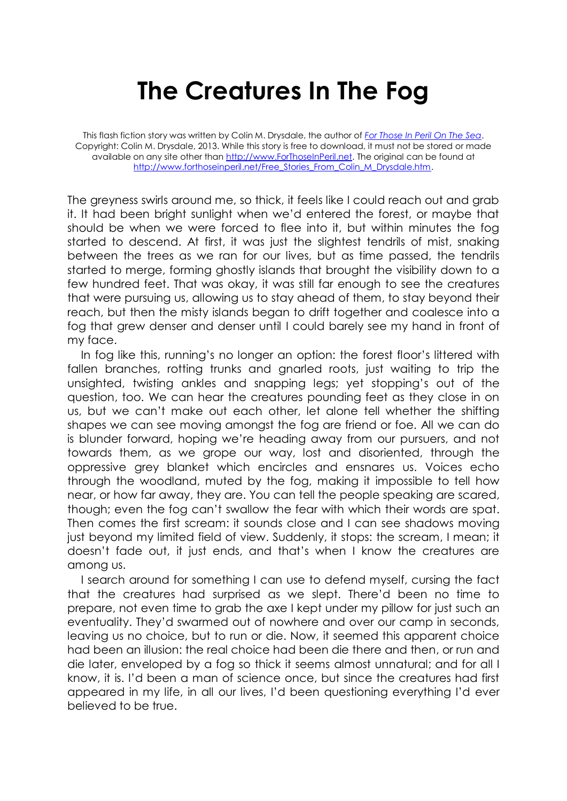## **The Creatures In The Fog**

This flash fiction story was written by Colin M. Drysdale, the author of *[For Those In Peril On The Sea](http://www.forthoseinperil.net/)*. Copyright: Colin M. Drysdale, 2013. While this story is free to download, it must not be stored or made available on any site other than [http://www.ForThoseInPeril.net.](http://www.forthoseinperil.net/) The original can be found at [http://www.forthoseinperil.net/Free\\_Stories\\_From\\_Colin\\_M\\_Drysdale.htm.](http://www.forthoseinperil.net/Free_Stories_From_Colin_M_Drysdale.htm)

The greyness swirls around me, so thick, it feels like I could reach out and grab it. It had been bright sunlight when we'd entered the forest, or maybe that should be when we were forced to flee into it, but within minutes the fog started to descend. At first, it was just the slightest tendrils of mist, snaking between the trees as we ran for our lives, but as time passed, the tendrils started to merge, forming ghostly islands that brought the visibility down to a few hundred feet. That was okay, it was still far enough to see the creatures that were pursuing us, allowing us to stay ahead of them, to stay beyond their reach, but then the misty islands began to drift together and coalesce into a fog that grew denser and denser until I could barely see my hand in front of my face.

In fog like this, running's no longer an option: the forest floor's littered with fallen branches, rotting trunks and gnarled roots, just waiting to trip the unsighted, twisting ankles and snapping legs; yet stopping's out of the question, too. We can hear the creatures pounding feet as they close in on us, but we can't make out each other, let alone tell whether the shifting shapes we can see moving amongst the fog are friend or foe. All we can do is blunder forward, hoping we're heading away from our pursuers, and not towards them, as we grope our way, lost and disoriented, through the oppressive grey blanket which encircles and ensnares us. Voices echo through the woodland, muted by the fog, making it impossible to tell how near, or how far away, they are. You can tell the people speaking are scared, though; even the fog can't swallow the fear with which their words are spat. Then comes the first scream: it sounds close and I can see shadows moving just beyond my limited field of view. Suddenly, it stops: the scream, I mean; it doesn't fade out, it just ends, and that's when I know the creatures are among us.

I search around for something I can use to defend myself, cursing the fact that the creatures had surprised as we slept. There'd been no time to prepare, not even time to grab the axe I kept under my pillow for just such an eventuality. They'd swarmed out of nowhere and over our camp in seconds, leaving us no choice, but to run or die. Now, it seemed this apparent choice had been an illusion: the real choice had been die there and then, or run and die later, enveloped by a fog so thick it seems almost unnatural; and for all I know, it is. I'd been a man of science once, but since the creatures had first appeared in my life, in all our lives, I'd been questioning everything I'd ever believed to be true.